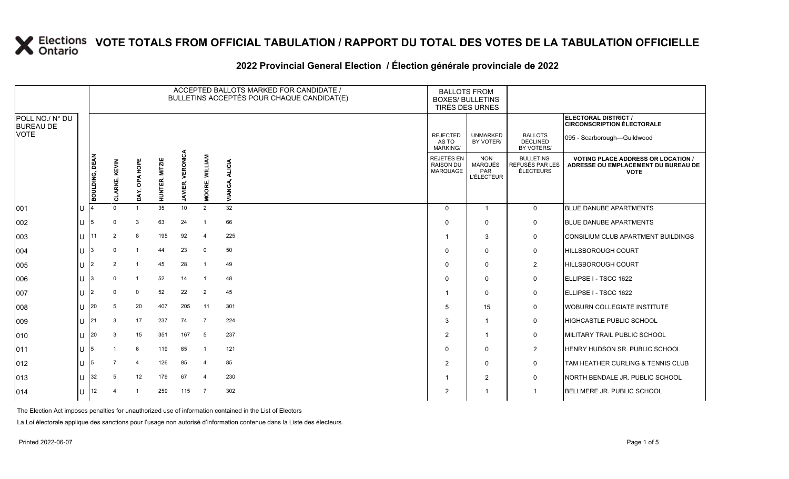### **2022 Provincial General Election / Élection générale provinciale de 2022**

|                                     |     |                       |               |                |                          |                                   |                          | ACCEPTED BALLOTS MARKED FOR CANDIDATE /<br>BULLETINS ACCEPTÉS POUR CHAQUE CANDIDAT(E) | <b>BALLOTS FROM</b><br><b>BOXES/ BULLETINS</b><br>TIRÉS DES URNES |                                                          |                                                  |                                                                                                 |
|-------------------------------------|-----|-----------------------|---------------|----------------|--------------------------|-----------------------------------|--------------------------|---------------------------------------------------------------------------------------|-------------------------------------------------------------------|----------------------------------------------------------|--------------------------------------------------|-------------------------------------------------------------------------------------------------|
| POLL NO./ N° DU<br><b>BUREAU DE</b> |     |                       |               |                |                          |                                   |                          |                                                                                       |                                                                   |                                                          |                                                  | ELECTORAL DISTRICT /<br><b>CIRCONSCRIPTION ÉLECTORALE</b>                                       |
| <b>VOTE</b>                         |     |                       |               |                |                          |                                   |                          |                                                                                       | <b>REJECTED</b><br>AS TO<br><b>MARKING/</b>                       | <b>UNMARKED</b><br>BY VOTER/                             | <b>BALLOTS</b><br><b>DECLINED</b><br>BY VOTERS/  | 095 - Scarborough-Guildwood                                                                     |
|                                     |     | <b>BOULDING, DEAN</b> | CLARKE, KEVIN | DAY, OPA HOPE  | <b>MITZIE</b><br>HUNTER, | <b>VERONICA</b><br><b>JAVIER,</b> | <b>WILLIAM</b><br>MOORE, | <b>ALICIA</b><br>VIANGA,                                                              | <b>REJETÉS EN</b><br><b>RAISON DU</b><br>MARQUAGE                 | <b>NON</b><br><b>MARQUÉS</b><br>PAR<br><b>L'ÉLECTEUR</b> | <b>BULLETINS</b><br>REFUSÉS PAR LES<br>ÉLECTEURS | <b>VOTING PLACE ADDRESS OR LOCATION /</b><br>ADRESSE OU EMPLACEMENT DU BUREAU DE<br><b>VOTE</b> |
| 001                                 | ΙU  |                       | $\Omega$      | $\overline{1}$ | 35                       | 10                                | 2                        | 32                                                                                    | $\Omega$                                                          | $\mathbf{1}$                                             | $\mathbf 0$                                      | <b>BLUE DANUBE APARTMENTS</b>                                                                   |
| 002                                 | ΙU  | 5                     | $\Omega$      | 3              | 63                       | 24                                | -1                       | 66                                                                                    | $\Omega$                                                          | $\Omega$                                                 | $\mathsf{O}$                                     | <b>BLUE DANUBE APARTMENTS</b>                                                                   |
| 003                                 | lU. | 11                    |               | 8              | 195                      | 92                                | $\overline{4}$           | 225                                                                                   | -1                                                                | 3                                                        | 0                                                | CONSILIUM CLUB APARTMENT BUILDINGS                                                              |
| 004                                 | ΙU  | 3                     | $\Omega$      | $\overline{1}$ | 44                       | 23                                | 0                        | 50                                                                                    | $\Omega$                                                          | $\Omega$                                                 | 0                                                | <b>HILLSBOROUGH COURT</b>                                                                       |
| 005                                 | ΙU  | 2                     | 2             | $\overline{1}$ | 45                       | 28                                | -1                       | 49                                                                                    | $\Omega$                                                          | $\mathbf{0}$                                             | $\overline{2}$                                   | <b>HILLSBOROUGH COURT</b>                                                                       |
| 006                                 | lU. | 3                     | $\Omega$      | $\mathbf{1}$   | 52                       | 14                                | -1                       | 48                                                                                    | $\Omega$                                                          | $\mathbf{0}$                                             | $\mathsf{O}$                                     | ELLIPSE I - TSCC 1622                                                                           |
| 007                                 | lU. | 2                     | $\Omega$      | 0              | 52                       | 22                                | $\overline{2}$           | 45                                                                                    | -1                                                                | $\Omega$                                                 | 0                                                | ELLIPSE I - TSCC 1622                                                                           |
| 008                                 | lU  | 20                    | 5             | 20             | 407                      | 205                               | 11                       | 301                                                                                   | 5                                                                 | 15                                                       | 0                                                | <b>IWOBURN COLLEGIATE INSTITUTE</b>                                                             |
| 009                                 | IП  | 21                    | 3             | 17             | 237                      | 74                                | 7                        | 224                                                                                   | 3                                                                 | $\mathbf{1}$                                             | 0                                                | HIGHCASTLE PUBLIC SCHOOL                                                                        |
| 010                                 | lU. | 20                    | 3             | 15             | 351                      | 167                               | 5                        | 237                                                                                   | 2                                                                 | -1                                                       | 0                                                | MILITARY TRAIL PUBLIC SCHOOL                                                                    |
| 011                                 | ΙU  | 5                     |               | 6              | 119                      | 65                                | $\overline{1}$           | 121                                                                                   | $\Omega$                                                          | $\Omega$                                                 | $\overline{2}$                                   | <b>HENRY HUDSON SR. PUBLIC SCHOOL</b>                                                           |
| 012                                 | IU. | 5                     |               | $\overline{4}$ | 126                      | 85                                | $\overline{4}$           | 85                                                                                    | 2                                                                 | $\mathbf{0}$                                             | 0                                                | TAM HEATHER CURLING & TENNIS CLUB                                                               |
| 013                                 | IU. | 32                    | 5             | 12             | 179                      | 67                                | $\overline{4}$           | 230                                                                                   | -1                                                                | $\overline{2}$                                           | 0                                                | NORTH BENDALE JR. PUBLIC SCHOOL                                                                 |
| 014                                 | ΙU  | 12                    |               | $\overline{1}$ | 259                      | 115                               | $\overline{7}$           | 302                                                                                   | $\overline{2}$                                                    |                                                          | $\mathbf{1}$                                     | BELLMERE JR. PUBLIC SCHOOL                                                                      |

The Election Act imposes penalties for unauthorized use of information contained in the List of Electors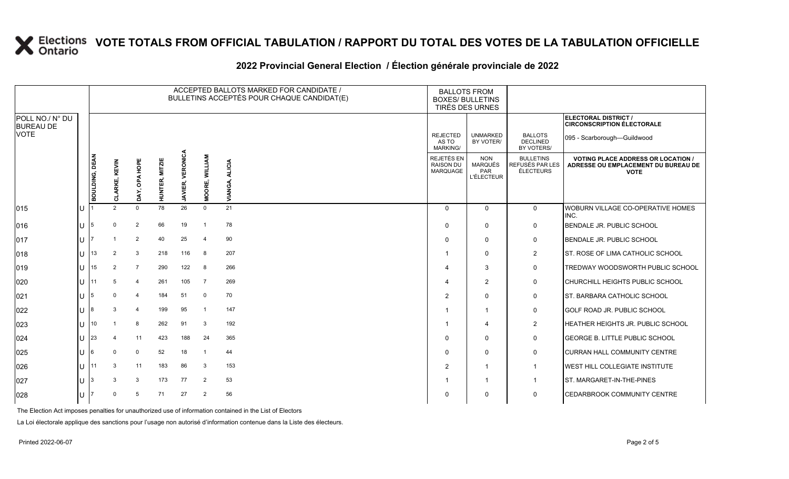### **2022 Provincial General Election / Élection générale provinciale de 2022**

|                                     |                       |                      |                |                       |                     |                          | ACCEPTED BALLOTS MARKED FOR CANDIDATE /<br>BULLETINS ACCEPTÉS POUR CHAQUE CANDIDAT(E) | <b>BALLOTS FROM</b><br><b>BOXES/ BULLETINS</b><br>TIRÉS DES URNES |                                                                 |                                                  |                                                                                                 |
|-------------------------------------|-----------------------|----------------------|----------------|-----------------------|---------------------|--------------------------|---------------------------------------------------------------------------------------|-------------------------------------------------------------------|-----------------------------------------------------------------|--------------------------------------------------|-------------------------------------------------------------------------------------------------|
| POLL NO./ N° DU<br><b>BUREAU DE</b> |                       |                      |                |                       |                     |                          |                                                                                       |                                                                   |                                                                 |                                                  | ELECTORAL DISTRICT /<br><b>CIRCONSCRIPTION ÉLECTORALE</b>                                       |
| <b>VOTE</b>                         |                       |                      |                |                       |                     |                          |                                                                                       | <b>REJECTED</b><br>AS TO<br><b>MARKING/</b>                       | <b>UNMARKED</b><br>BY VOTER/                                    | <b>BALLOTS</b><br><b>DECLINED</b><br>BY VOTERS/  | 095 - Scarborough-Guildwood                                                                     |
|                                     | <b>BOULDING, DEAN</b> | <b>CLARKE, KEVIN</b> | DAY, OPA HOPE  | <b>HUNTER, MITZIE</b> | VERONICA<br>JAVIER, | <b>WILLIAM</b><br>MOORE, | <b>ALICIA</b><br>VIANGA,                                                              | REJETÉS EN<br><b>RAISON DU</b><br>MARQUAGE                        | <b>NON</b><br><b>MARQUÉS</b><br><b>PAR</b><br><b>L'ÉLECTEUR</b> | <b>BULLETINS</b><br>REFUSÉS PAR LES<br>ÉLECTEURS | <b>VOTING PLACE ADDRESS OR LOCATION /</b><br>ADRESSE OU EMPLACEMENT DU BUREAU DE<br><b>VOTE</b> |
| 015                                 |                       | $\mathcal{P}$        | $\mathbf 0$    | 78                    | 26                  | $\mathbf 0$              | 21                                                                                    | $\Omega$                                                          | $\mathbf{0}$                                                    | $\mathbf 0$                                      | WOBURN VILLAGE CO-OPERATIVE HOMES<br>INC.                                                       |
| 016                                 |                       | $\Omega$             | $\overline{2}$ | 66                    | 19                  | $\overline{1}$           | 78                                                                                    | $\mathbf{0}$                                                      | $\mathbf{0}$                                                    | 0                                                | BENDALE JR. PUBLIC SCHOOL                                                                       |
| 017                                 |                       |                      | $\overline{2}$ | 40                    | 25                  | $\overline{4}$           | 90                                                                                    | $\Omega$                                                          | $\Omega$                                                        | $\mathsf{O}$                                     | BENDALE JR. PUBLIC SCHOOL                                                                       |
| 018                                 | 13                    | 2                    | $\mathbf{3}$   | 218                   | 116                 | 8                        | 207                                                                                   | -1                                                                | $\Omega$                                                        | $\overline{2}$                                   | <b>ST. ROSE OF LIMA CATHOLIC SCHOOL</b>                                                         |
| 019                                 | 15                    | 2                    | $\overline{7}$ | 290                   | 122                 | -8                       | 266                                                                                   | 4                                                                 | 3                                                               | 0                                                | TREDWAY WOODSWORTH PUBLIC SCHOOL                                                                |
| 020                                 | 11                    |                      | $\overline{4}$ | 261                   | 105                 | $\overline{7}$           | 269                                                                                   | 4                                                                 | 2                                                               | 0                                                | CHURCHILL HEIGHTS PUBLIC SCHOOL                                                                 |
| 021                                 |                       | $\Omega$             | $\overline{4}$ | 184                   | 51                  | $\mathbf 0$              | 70                                                                                    | $\overline{2}$                                                    | $\mathbf{0}$                                                    | $\mathbf 0$                                      | <b>ST. BARBARA CATHOLIC SCHOOL</b>                                                              |
| 022                                 |                       | 3                    | $\overline{4}$ | 199                   | 95                  | $\mathbf{1}$             | 147                                                                                   | -1                                                                | $\mathbf{1}$                                                    | 0                                                | <b>GOLF ROAD JR. PUBLIC SCHOOL</b>                                                              |
| 023                                 | 10                    |                      | 8              | 262                   | 91                  | 3                        | 192                                                                                   | -1                                                                | $\overline{\mathbf{4}}$                                         | $\overline{2}$                                   | <b>HEATHER HEIGHTS JR. PUBLIC SCHOOL</b>                                                        |
| 024                                 | 23                    |                      | 11             | 423                   | 188                 | 24                       | 365                                                                                   | $\Omega$                                                          | $\mathbf{0}$                                                    | $\mathsf{O}$                                     | <b>GEORGE B. LITTLE PUBLIC SCHOOL</b>                                                           |
| 025                                 |                       | $\Omega$             | $\mathbf 0$    | 52                    | 18                  | $\mathbf 1$              | 44                                                                                    | $\Omega$                                                          | $\Omega$                                                        | 0                                                | <b>CURRAN HALL COMMUNITY CENTRE</b>                                                             |
| 026                                 | 11                    | 3                    | 11             | 183                   | 86                  | 3                        | 153                                                                                   | $\overline{2}$                                                    | $\overline{1}$                                                  | $\mathbf{1}$                                     | <b>WEST HILL COLLEGIATE INSTITUTE</b>                                                           |
| 027                                 |                       | 3                    | 3              | 173                   | 77                  | 2                        | 53                                                                                    |                                                                   | $\mathbf{1}$                                                    | $\mathbf{1}$                                     | ST. MARGARET-IN-THE-PINES                                                                       |
| 028                                 |                       | $\Omega$             | 5              | 71                    | 27                  | 2                        | 56                                                                                    | O                                                                 | $\Omega$                                                        | 0                                                | <b>CEDARBROOK COMMUNITY CENTRE</b>                                                              |

The Election Act imposes penalties for unauthorized use of information contained in the List of Electors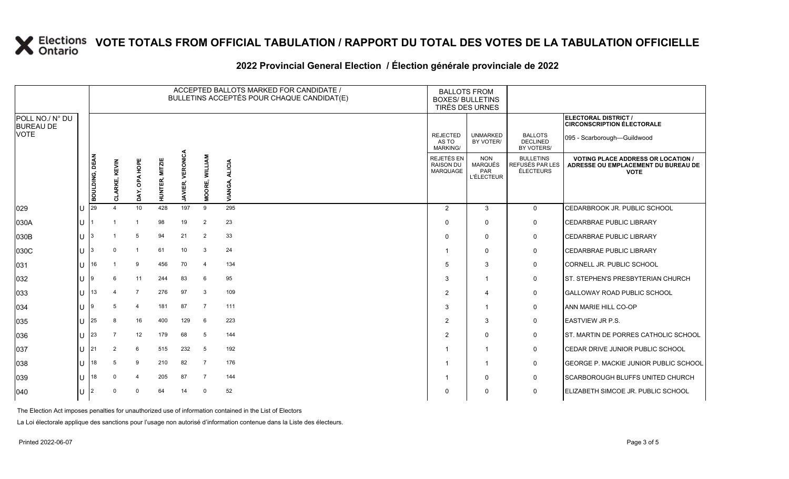### **2022 Provincial General Election / Élection générale provinciale de 2022**

|                                     |        |                |                           |                  |                       |                         |                | ACCEPTED BALLOTS MARKED FOR CANDIDATE /<br>BULLETINS ACCEPTÉS POUR CHAQUE CANDIDAT(E) | <b>BALLOTS FROM</b><br><b>BOXES/ BULLETINS</b><br>TIRÉS DES URNES |                                                          |                                                  |                                                                                               |  |  |
|-------------------------------------|--------|----------------|---------------------------|------------------|-----------------------|-------------------------|----------------|---------------------------------------------------------------------------------------|-------------------------------------------------------------------|----------------------------------------------------------|--------------------------------------------------|-----------------------------------------------------------------------------------------------|--|--|
| POLL NO./ N° DU<br><b>BUREAU DE</b> |        |                |                           |                  |                       |                         |                |                                                                                       |                                                                   |                                                          |                                                  | ELECTORAL DISTRICT /<br><b>CIRCONSCRIPTION ÉLECTORALE</b>                                     |  |  |
| <b>VOTE</b>                         |        |                |                           |                  |                       |                         |                |                                                                                       | <b>REJECTED</b><br>AS TO<br><b>MARKING/</b>                       | <b>UNMARKED</b><br>BY VOTER/                             | <b>BALLOTS</b><br><b>DECLINED</b><br>BY VOTERS/  | 095 - Scarborough-Guildwood                                                                   |  |  |
|                                     |        | BOULDING, DEAN | KEVIN<br>πì<br>LARKE<br>ō | HOPE<br>DAY, OPA | <b>HUNTER, MITZIE</b> | <b>JAVIER, VERONICA</b> | MOORE, WILLIAM | <b>ALICIA</b><br>VIANGA                                                               | <b>REJETÉS EN</b><br><b>RAISON DU</b><br>MARQUAGE                 | <b>NON</b><br><b>MARQUÉS</b><br>PAR<br><b>L'ÉLECTEUR</b> | <b>BULLETINS</b><br>REFUSÉS PAR LES<br>ÉLECTEURS | <b>VOTING PLACE ADDRESS OR LOCATION</b><br>ADRESSE OU EMPLACEMENT DU BUREAU DE<br><b>VOTE</b> |  |  |
| 029                                 |        | 29             | 4                         | 10               | 428                   | 197                     | 9              | 295                                                                                   | $\overline{2}$                                                    | 3                                                        | $\mathbf 0$                                      | CEDARBROOK JR. PUBLIC SCHOOL                                                                  |  |  |
| 030A                                | U      |                |                           |                  | 98                    | 19                      | $\overline{2}$ | 23                                                                                    | $\Omega$                                                          | $\Omega$                                                 | 0                                                | <b>CEDARBRAE PUBLIC LIBRARY</b>                                                               |  |  |
| 030B                                | lU.    |                |                           | 5                | 94                    | 21                      | $\overline{2}$ | 33                                                                                    | $\Omega$                                                          | $\mathbf{0}$                                             | 0                                                | <b>CEDARBRAE PUBLIC LIBRARY</b>                                                               |  |  |
| 030C                                | lu     |                | 0                         | -1               | 61                    | 10                      | 3              | 24                                                                                    |                                                                   | $\Omega$                                                 | 0                                                | <b>CEDARBRAE PUBLIC LIBRARY</b>                                                               |  |  |
| 031                                 | U      | 16             |                           | 9                | 456                   | 70                      | $\overline{4}$ | 134                                                                                   | 5                                                                 | 3                                                        | 0                                                | CORNELL JR. PUBLIC SCHOOL                                                                     |  |  |
| 032                                 | $\cup$ | 19             | 6                         | 11               | 244                   | 83                      | 6              | 95                                                                                    | 3                                                                 | $\overline{1}$                                           | 0                                                | IST. STEPHEN'S PRESBYTERIAN CHURCH                                                            |  |  |
| 033                                 | $\cup$ | 13             | 4                         | $\overline{7}$   | 276                   | 97                      | 3              | 109                                                                                   | $\overline{2}$                                                    | $\overline{4}$                                           | 0                                                | <b>GALLOWAY ROAD PUBLIC SCHOOL</b>                                                            |  |  |
| 034                                 | U      | ۱9             | 5                         | $\overline{4}$   | 181                   | 87                      | $\overline{7}$ | 111                                                                                   | 3                                                                 | $\mathbf 1$                                              | 0                                                | <b>ANN MARIE HILL CO-OP</b>                                                                   |  |  |
| 035                                 | U      | 25             | 8                         | 16               | 400                   | 129                     | 6              | 223                                                                                   | $\overline{2}$                                                    | 3                                                        | 0                                                | <b>EASTVIEW JR P.S.</b>                                                                       |  |  |
| 036                                 | U      | <b>23</b>      | 7                         | 12               | 179                   | 68                      | -5             | 144                                                                                   | 2                                                                 | $\Omega$                                                 | 0                                                | ST. MARTIN DE PORRES CATHOLIC SCHOOL                                                          |  |  |
| 037                                 | U      | 21             | 2                         | 6                | 515                   | 232                     | 5              | 192                                                                                   |                                                                   | $\mathbf{1}$                                             | 0                                                | CEDAR DRIVE JUNIOR PUBLIC SCHOOL                                                              |  |  |
| 038                                 | lU.    | 18             | 5                         | 9                | 210                   | 82                      | $\overline{7}$ | 176                                                                                   |                                                                   | $\mathbf{1}$                                             | 0                                                | GEORGE P. MACKIE JUNIOR PUBLIC SCHOOL                                                         |  |  |
| 039                                 | U      | 18             | $\Omega$                  | $\overline{4}$   | 205                   | 87                      | $\overline{7}$ | 144                                                                                   |                                                                   | $\Omega$                                                 | 0                                                | <b>SCARBOROUGH BLUFFS UNITED CHURCH</b>                                                       |  |  |
| 040                                 |        |                |                           | $\Omega$         | 64                    | 14                      | $\mathbf 0$    | 52                                                                                    | $\Omega$                                                          | $\Omega$                                                 | $\mathbf 0$                                      | ELIZABETH SIMCOE JR. PUBLIC SCHOOL                                                            |  |  |

The Election Act imposes penalties for unauthorized use of information contained in the List of Electors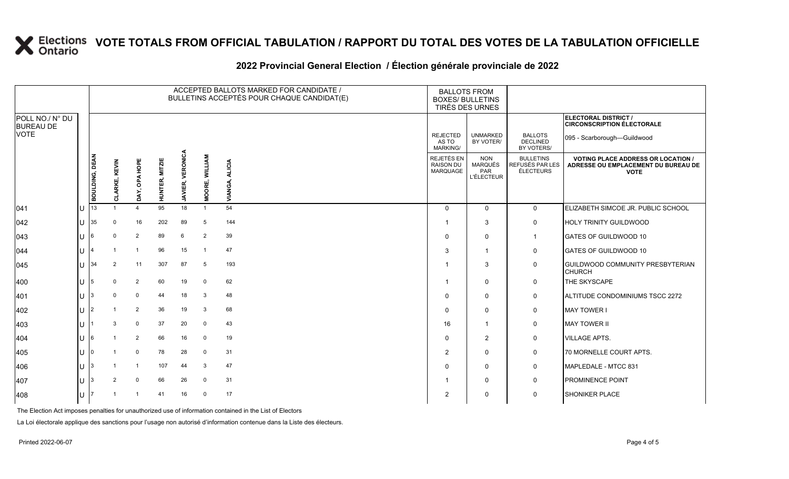### **2022 Provincial General Election / Élection générale provinciale de 2022**

|                                     |     |                       |                |                       |                       |                         |                          | ACCEPTED BALLOTS MARKED FOR CANDIDATE /<br>BULLETINS ACCEPTÉS POUR CHAQUE CANDIDAT(E) | <b>BOXES/ BULLETINS</b><br>TIRÉS DES URNES  | <b>BALLOTS FROM</b>                                      |                                                         |                                                                                                 |
|-------------------------------------|-----|-----------------------|----------------|-----------------------|-----------------------|-------------------------|--------------------------|---------------------------------------------------------------------------------------|---------------------------------------------|----------------------------------------------------------|---------------------------------------------------------|-------------------------------------------------------------------------------------------------|
| POLL NO./ N° DU<br><b>BUREAU DE</b> |     |                       |                |                       |                       |                         |                          |                                                                                       |                                             |                                                          |                                                         | ELECTORAL DISTRICT /<br><b>CIRCONSCRIPTION ÉLECTORALE</b>                                       |
| <b>VOTE</b>                         |     |                       |                |                       |                       |                         |                          |                                                                                       | <b>REJECTED</b><br>AS TO<br><b>MARKING/</b> | <b>UNMARKED</b><br>BY VOTER/                             | <b>BALLOTS</b><br><b>DECLINED</b><br>BY VOTERS/         | 095 - Scarborough-Guildwood                                                                     |
|                                     |     | <b>BOULDING, DEAN</b> | CLARKE, KEVIN  | DAY, OPA HOPE         | <b>HUNTER, MITZIE</b> | <b>JAVIER, VERONICA</b> | <b>WILLIAM</b><br>MOORE, | <b>ALICIA</b><br><b>VIANGA</b>                                                        | REJETÉS EN<br><b>RAISON DU</b><br>MARQUAGE  | <b>NON</b><br><b>MARQUÉS</b><br>PAR<br><b>L'ÉLECTEUR</b> | <b>BULLETINS</b><br>REFUSÉS PAR LES<br><b>ÉLECTEURS</b> | <b>VOTING PLACE ADDRESS OR LOCATION /</b><br>ADRESSE OU EMPLACEMENT DU BUREAU DE<br><b>VOTE</b> |
| 041                                 | Iυ  | 13                    |                | $\boldsymbol{\Delta}$ | 95                    | 18                      | $\overline{1}$           | 54                                                                                    | $\mathbf{0}$                                | $\mathbf 0$                                              | $\mathsf{O}$                                            | ELIZABETH SIMCOE JR. PUBLIC SCHOOL                                                              |
| 042                                 | lU  | 35                    | $\Omega$       | 16                    | 202                   | 89                      | 5                        | 144                                                                                   |                                             | 3                                                        | $\mathsf{O}$                                            | <b>HOLY TRINITY GUILDWOOD</b>                                                                   |
| 043                                 | lu  |                       | $\Omega$       | $\overline{2}$        | 89                    | 6                       | $\overline{2}$           | 39                                                                                    | $\Omega$                                    | $\mathbf 0$                                              | $\overline{1}$                                          | GATES OF GUILDWOOD 10                                                                           |
| 044                                 | lu  |                       |                |                       | 96                    | 15                      | $\overline{1}$           | 47                                                                                    | 3                                           | $\overline{1}$                                           | 0                                                       | GATES OF GUILDWOOD 10                                                                           |
| $ 045\rangle$                       | lu  | 34                    | $\overline{2}$ | 11                    | 307                   | 87                      | 5                        | 193                                                                                   |                                             | 3                                                        | $\mathsf{O}$                                            | <b>GUILDWOOD COMMUNITY PRESBYTERIAN</b><br><b>CHURCH</b>                                        |
| 400                                 | lu  | 5                     | 0              | $\overline{2}$        | 60                    | 19                      | $\mathbf 0$              | 62                                                                                    |                                             | $\mathbf 0$                                              | $\mathsf{O}$                                            | THE SKYSCAPE                                                                                    |
| 401                                 | lu  |                       | $\Omega$       | $\mathbf 0$           | 44                    | 18                      | 3                        | 48                                                                                    | $\Omega$                                    | $\mathbf 0$                                              | $\mathsf{O}$                                            | ALTITUDE CONDOMINIUMS TSCC 2272                                                                 |
| 402                                 | lu  | $\overline{2}$        |                | 2                     | 36                    | 19                      | 3                        | 68                                                                                    | $\Omega$                                    | $\mathbf 0$                                              | 0                                                       | <b>MAY TOWER I</b>                                                                              |
| 403                                 | Ιu. |                       | 3              | $\mathbf 0$           | 37                    | 20                      | $\mathbf 0$              | 43                                                                                    | 16                                          | $\mathbf{1}$                                             | 0                                                       | <b>MAY TOWER II</b>                                                                             |
| 404                                 | Iυ  |                       |                | $\overline{2}$        | 66                    | 16                      | $\mathbf 0$              | 19                                                                                    | $\Omega$                                    | $\overline{2}$                                           | $\mathsf{O}$                                            | <b>VILLAGE APTS.</b>                                                                            |
| 405                                 | lu  |                       |                | $\mathbf 0$           | 78                    | 28                      | 0                        | 31                                                                                    | $\overline{2}$                              | $\mathbf 0$                                              | 0                                                       | 70 MORNELLE COURT APTS.                                                                         |
| 406                                 | lu  |                       |                |                       | 107                   | 44                      | 3                        | 47                                                                                    | $\Omega$                                    | $\mathbf 0$                                              | $\mathbf 0$                                             | MAPLEDALE - MTCC 831                                                                            |
| 407                                 | lu  |                       | $\overline{2}$ | $\mathbf 0$           | 66                    | 26                      | $\mathbf 0$              | 31                                                                                    |                                             | $\mathbf 0$                                              | $\mathsf{O}$                                            | <b>PROMINENCE POINT</b>                                                                         |
| 408                                 | Iυ  |                       |                |                       | 41                    | 16                      | $\mathbf 0$              | 17                                                                                    | 2                                           | 0                                                        | 0                                                       | SHONIKER PLACE                                                                                  |

The Election Act imposes penalties for unauthorized use of information contained in the List of Electors